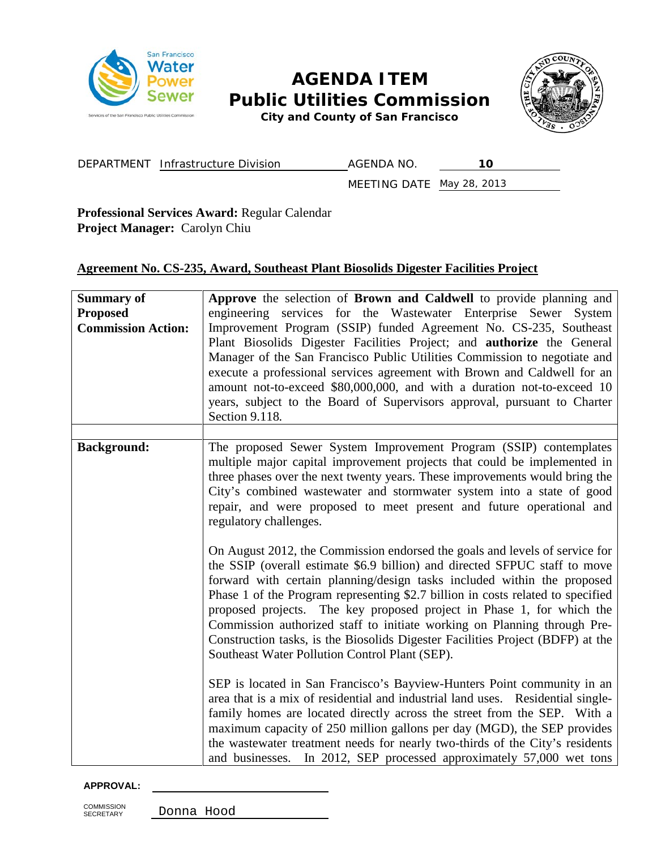

# **AGENDA ITEM Public Utilities Commission**



*City and County of San Francisco*

DEPARTMENT Infrastructure Division AGENDA NO. 10

MEETING DATE May 28, 2013

**Professional Services Award:** Regular Calendar **Project Manager:** Carolyn Chiu

# **Agreement No. CS-235, Award, Southeast Plant Biosolids Digester Facilities Project**

| <b>Summary of</b><br><b>Proposed</b><br><b>Commission Action:</b> | Approve the selection of Brown and Caldwell to provide planning and<br>engineering services for the Wastewater Enterprise Sewer System<br>Improvement Program (SSIP) funded Agreement No. CS-235, Southeast<br>Plant Biosolids Digester Facilities Project; and <b>authorize</b> the General<br>Manager of the San Francisco Public Utilities Commission to negotiate and<br>execute a professional services agreement with Brown and Caldwell for an<br>amount not-to-exceed \$80,000,000, and with a duration not-to-exceed 10<br>years, subject to the Board of Supervisors approval, pursuant to Charter<br>Section 9.118. |  |  |
|-------------------------------------------------------------------|--------------------------------------------------------------------------------------------------------------------------------------------------------------------------------------------------------------------------------------------------------------------------------------------------------------------------------------------------------------------------------------------------------------------------------------------------------------------------------------------------------------------------------------------------------------------------------------------------------------------------------|--|--|
|                                                                   |                                                                                                                                                                                                                                                                                                                                                                                                                                                                                                                                                                                                                                |  |  |
| <b>Background:</b>                                                | The proposed Sewer System Improvement Program (SSIP) contemplates<br>multiple major capital improvement projects that could be implemented in<br>three phases over the next twenty years. These improvements would bring the<br>City's combined wastewater and stormwater system into a state of good<br>repair, and were proposed to meet present and future operational and<br>regulatory challenges.                                                                                                                                                                                                                        |  |  |
|                                                                   | On August 2012, the Commission endorsed the goals and levels of service for<br>the SSIP (overall estimate \$6.9 billion) and directed SFPUC staff to move<br>forward with certain planning/design tasks included within the proposed<br>Phase 1 of the Program representing \$2.7 billion in costs related to specified<br>proposed projects. The key proposed project in Phase 1, for which the<br>Commission authorized staff to initiate working on Planning through Pre-<br>Construction tasks, is the Biosolids Digester Facilities Project (BDFP) at the<br>Southeast Water Pollution Control Plant (SEP).               |  |  |
|                                                                   | SEP is located in San Francisco's Bayview-Hunters Point community in an<br>area that is a mix of residential and industrial land uses. Residential single-<br>family homes are located directly across the street from the SEP. With a<br>maximum capacity of 250 million gallons per day (MGD), the SEP provides<br>the wastewater treatment needs for nearly two-thirds of the City's residents<br>and businesses. In 2012, SEP processed approximately 57,000 wet tons                                                                                                                                                      |  |  |

#### **APPROVAL:**

COMMISSION<br>SECRETARY

Donna Hood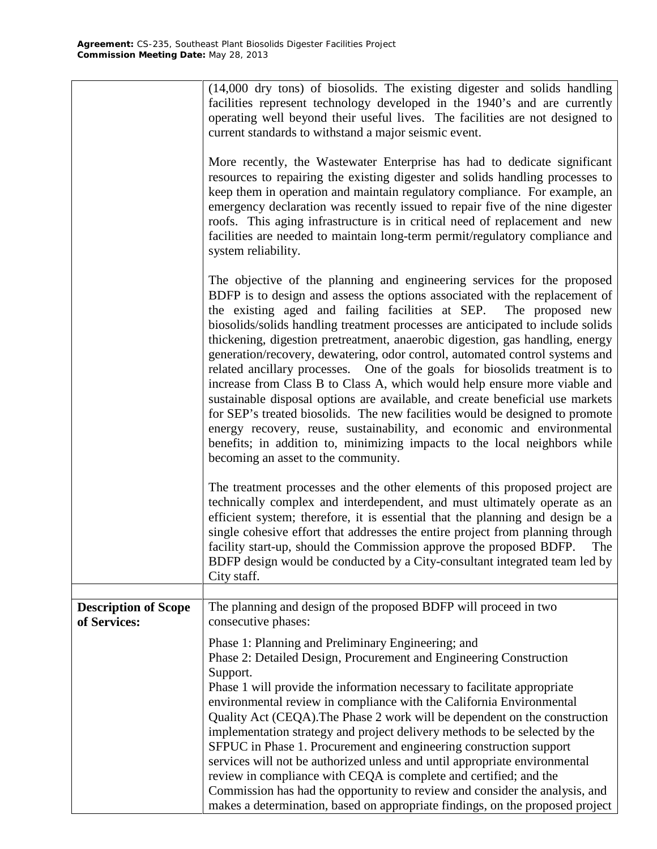|                                             | (14,000 dry tons) of biosolids. The existing digester and solids handling                                                                                                                                                                                                                                                                                                                                                                                                                                                                                                                                                                                                                                                                                                                                    |  |  |  |
|---------------------------------------------|--------------------------------------------------------------------------------------------------------------------------------------------------------------------------------------------------------------------------------------------------------------------------------------------------------------------------------------------------------------------------------------------------------------------------------------------------------------------------------------------------------------------------------------------------------------------------------------------------------------------------------------------------------------------------------------------------------------------------------------------------------------------------------------------------------------|--|--|--|
|                                             | facilities represent technology developed in the 1940's and are currently                                                                                                                                                                                                                                                                                                                                                                                                                                                                                                                                                                                                                                                                                                                                    |  |  |  |
|                                             | operating well beyond their useful lives. The facilities are not designed to                                                                                                                                                                                                                                                                                                                                                                                                                                                                                                                                                                                                                                                                                                                                 |  |  |  |
|                                             | current standards to withstand a major seismic event.                                                                                                                                                                                                                                                                                                                                                                                                                                                                                                                                                                                                                                                                                                                                                        |  |  |  |
|                                             | More recently, the Wastewater Enterprise has had to dedicate significant<br>resources to repairing the existing digester and solids handling processes to                                                                                                                                                                                                                                                                                                                                                                                                                                                                                                                                                                                                                                                    |  |  |  |
|                                             | keep them in operation and maintain regulatory compliance. For example, an<br>emergency declaration was recently issued to repair five of the nine digester                                                                                                                                                                                                                                                                                                                                                                                                                                                                                                                                                                                                                                                  |  |  |  |
|                                             | roofs. This aging infrastructure is in critical need of replacement and new                                                                                                                                                                                                                                                                                                                                                                                                                                                                                                                                                                                                                                                                                                                                  |  |  |  |
|                                             | facilities are needed to maintain long-term permit/regulatory compliance and<br>system reliability.                                                                                                                                                                                                                                                                                                                                                                                                                                                                                                                                                                                                                                                                                                          |  |  |  |
|                                             |                                                                                                                                                                                                                                                                                                                                                                                                                                                                                                                                                                                                                                                                                                                                                                                                              |  |  |  |
|                                             | The objective of the planning and engineering services for the proposed<br>BDFP is to design and assess the options associated with the replacement of<br>the existing aged and failing facilities at SEP. The proposed new<br>biosolids/solids handling treatment processes are anticipated to include solids<br>thickening, digestion pretreatment, anaerobic digestion, gas handling, energy<br>generation/recovery, dewatering, odor control, automated control systems and<br>related ancillary processes. One of the goals for biosolids treatment is to<br>increase from Class B to Class A, which would help ensure more viable and<br>sustainable disposal options are available, and create beneficial use markets<br>for SEP's treated biosolids. The new facilities would be designed to promote |  |  |  |
|                                             | energy recovery, reuse, sustainability, and economic and environmental<br>benefits; in addition to, minimizing impacts to the local neighbors while<br>becoming an asset to the community.                                                                                                                                                                                                                                                                                                                                                                                                                                                                                                                                                                                                                   |  |  |  |
|                                             | The treatment processes and the other elements of this proposed project are<br>technically complex and interdependent, and must ultimately operate as an<br>efficient system; therefore, it is essential that the planning and design be a<br>single cohesive effort that addresses the entire project from planning through<br>facility start-up, should the Commission approve the proposed BDFP.<br>The<br>BDFP design would be conducted by a City-consultant integrated team led by<br>City staff.                                                                                                                                                                                                                                                                                                      |  |  |  |
|                                             |                                                                                                                                                                                                                                                                                                                                                                                                                                                                                                                                                                                                                                                                                                                                                                                                              |  |  |  |
| <b>Description of Scope</b><br>of Services: | The planning and design of the proposed BDFP will proceed in two<br>consecutive phases:                                                                                                                                                                                                                                                                                                                                                                                                                                                                                                                                                                                                                                                                                                                      |  |  |  |
|                                             | Phase 1: Planning and Preliminary Engineering; and                                                                                                                                                                                                                                                                                                                                                                                                                                                                                                                                                                                                                                                                                                                                                           |  |  |  |
|                                             | Phase 2: Detailed Design, Procurement and Engineering Construction                                                                                                                                                                                                                                                                                                                                                                                                                                                                                                                                                                                                                                                                                                                                           |  |  |  |
|                                             | Support.<br>Phase 1 will provide the information necessary to facilitate appropriate                                                                                                                                                                                                                                                                                                                                                                                                                                                                                                                                                                                                                                                                                                                         |  |  |  |
|                                             | environmental review in compliance with the California Environmental                                                                                                                                                                                                                                                                                                                                                                                                                                                                                                                                                                                                                                                                                                                                         |  |  |  |
|                                             | Quality Act (CEQA). The Phase 2 work will be dependent on the construction                                                                                                                                                                                                                                                                                                                                                                                                                                                                                                                                                                                                                                                                                                                                   |  |  |  |
|                                             | implementation strategy and project delivery methods to be selected by the<br>SFPUC in Phase 1. Procurement and engineering construction support                                                                                                                                                                                                                                                                                                                                                                                                                                                                                                                                                                                                                                                             |  |  |  |
|                                             | services will not be authorized unless and until appropriate environmental                                                                                                                                                                                                                                                                                                                                                                                                                                                                                                                                                                                                                                                                                                                                   |  |  |  |
|                                             | review in compliance with CEQA is complete and certified; and the                                                                                                                                                                                                                                                                                                                                                                                                                                                                                                                                                                                                                                                                                                                                            |  |  |  |
|                                             | Commission has had the opportunity to review and consider the analysis, and<br>makes a determination, based on appropriate findings, on the proposed project                                                                                                                                                                                                                                                                                                                                                                                                                                                                                                                                                                                                                                                 |  |  |  |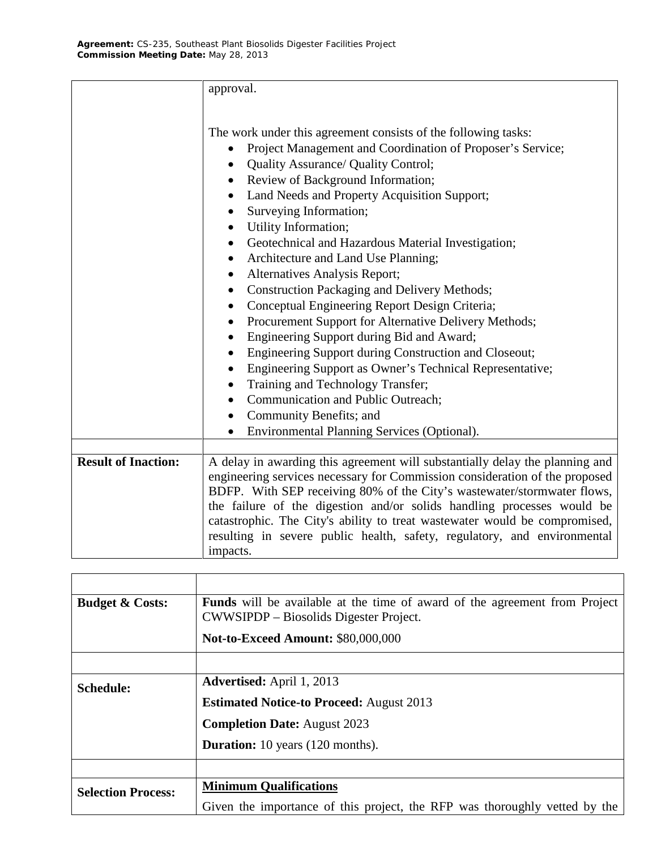|                            | approval.                                                                                                                                                                                                                                                                                                                                                                                                                                                                                                                                                                                                                                                                                                                                                                                                                                                                                       |  |  |  |
|----------------------------|-------------------------------------------------------------------------------------------------------------------------------------------------------------------------------------------------------------------------------------------------------------------------------------------------------------------------------------------------------------------------------------------------------------------------------------------------------------------------------------------------------------------------------------------------------------------------------------------------------------------------------------------------------------------------------------------------------------------------------------------------------------------------------------------------------------------------------------------------------------------------------------------------|--|--|--|
|                            | The work under this agreement consists of the following tasks:<br>Project Management and Coordination of Proposer's Service;<br><b>Quality Assurance/ Quality Control;</b><br>Review of Background Information;<br>Land Needs and Property Acquisition Support;<br>Surveying Information;<br>Utility Information;<br>Geotechnical and Hazardous Material Investigation;<br>Architecture and Land Use Planning;<br>$\bullet$<br>Alternatives Analysis Report;<br>Construction Packaging and Delivery Methods;<br>Conceptual Engineering Report Design Criteria;<br>Procurement Support for Alternative Delivery Methods;<br>Engineering Support during Bid and Award;<br>Engineering Support during Construction and Closeout;<br>Engineering Support as Owner's Technical Representative;<br>Training and Technology Transfer;<br>Communication and Public Outreach;<br>Community Benefits; and |  |  |  |
|                            | Environmental Planning Services (Optional).                                                                                                                                                                                                                                                                                                                                                                                                                                                                                                                                                                                                                                                                                                                                                                                                                                                     |  |  |  |
| <b>Result of Inaction:</b> | A delay in awarding this agreement will substantially delay the planning and<br>engineering services necessary for Commission consideration of the proposed<br>BDFP. With SEP receiving 80% of the City's wastewater/stormwater flows,<br>the failure of the digestion and/or solids handling processes would be<br>catastrophic. The City's ability to treat wastewater would be compromised,<br>resulting in severe public health, safety, regulatory, and environmental<br>impacts.                                                                                                                                                                                                                                                                                                                                                                                                          |  |  |  |

| <b>Budget &amp; Costs:</b> | <b>Funds</b> will be available at the time of award of the agreement from Project<br>CWWSIPDP – Biosolids Digester Project. |  |  |
|----------------------------|-----------------------------------------------------------------------------------------------------------------------------|--|--|
|                            | <b>Not-to-Exceed Amount: \$80,000,000</b>                                                                                   |  |  |
|                            |                                                                                                                             |  |  |
| <b>Schedule:</b>           | <b>Advertised:</b> April 1, 2013                                                                                            |  |  |
|                            | <b>Estimated Notice-to Proceed:</b> August 2013                                                                             |  |  |
|                            | <b>Completion Date: August 2023</b>                                                                                         |  |  |
|                            | <b>Duration:</b> 10 years (120 months).                                                                                     |  |  |
|                            |                                                                                                                             |  |  |
| <b>Selection Process:</b>  | <b>Minimum Qualifications</b>                                                                                               |  |  |
|                            | Given the importance of this project, the RFP was thoroughly vetted by the                                                  |  |  |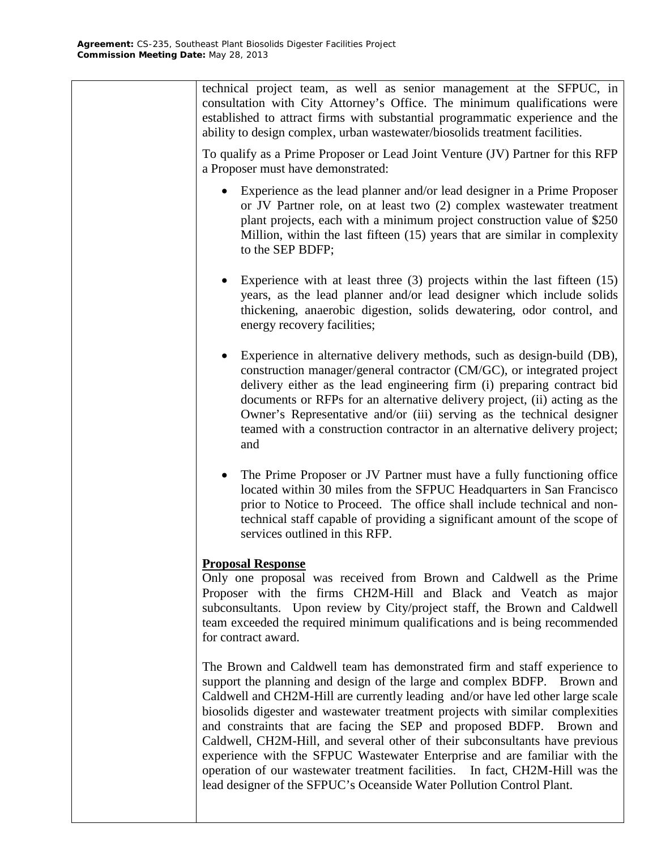technical project team, as well as senior management at the SFPUC, in consultation with City Attorney's Office. The minimum qualifications were established to attract firms with substantial programmatic experience and the ability to design complex, urban wastewater/biosolids treatment facilities.

To qualify as a Prime Proposer or Lead Joint Venture (JV) Partner for this RFP a Proposer must have demonstrated:

- Experience as the lead planner and/or lead designer in a Prime Proposer or JV Partner role, on at least two (2) complex wastewater treatment plant projects, each with a minimum project construction value of \$250 Million, within the last fifteen (15) years that are similar in complexity to the SEP BDFP;
- Experience with at least three (3) projects within the last fifteen (15) years, as the lead planner and/or lead designer which include solids thickening, anaerobic digestion, solids dewatering, odor control, and energy recovery facilities;
- Experience in alternative delivery methods, such as design-build (DB), construction manager/general contractor (CM/GC), or integrated project delivery either as the lead engineering firm (i) preparing contract bid documents or RFPs for an alternative delivery project, (ii) acting as the Owner's Representative and/or (iii) serving as the technical designer teamed with a construction contractor in an alternative delivery project; and
- The Prime Proposer or JV Partner must have a fully functioning office located within 30 miles from the SFPUC Headquarters in San Francisco prior to Notice to Proceed. The office shall include technical and nontechnical staff capable of providing a significant amount of the scope of services outlined in this RFP.

# **Proposal Response**

Only one proposal was received from Brown and Caldwell as the Prime Proposer with the firms CH2M-Hill and Black and Veatch as major subconsultants. Upon review by City/project staff, the Brown and Caldwell team exceeded the required minimum qualifications and is being recommended for contract award.

The Brown and Caldwell team has demonstrated firm and staff experience to support the planning and design of the large and complex BDFP. Brown and Caldwell and CH2M-Hill are currently leading and/or have led other large scale biosolids digester and wastewater treatment projects with similar complexities and constraints that are facing the SEP and proposed BDFP. Brown and Caldwell, CH2M-Hill, and several other of their subconsultants have previous experience with the SFPUC Wastewater Enterprise and are familiar with the operation of our wastewater treatment facilities. In fact, CH2M-Hill was the lead designer of the SFPUC's Oceanside Water Pollution Control Plant.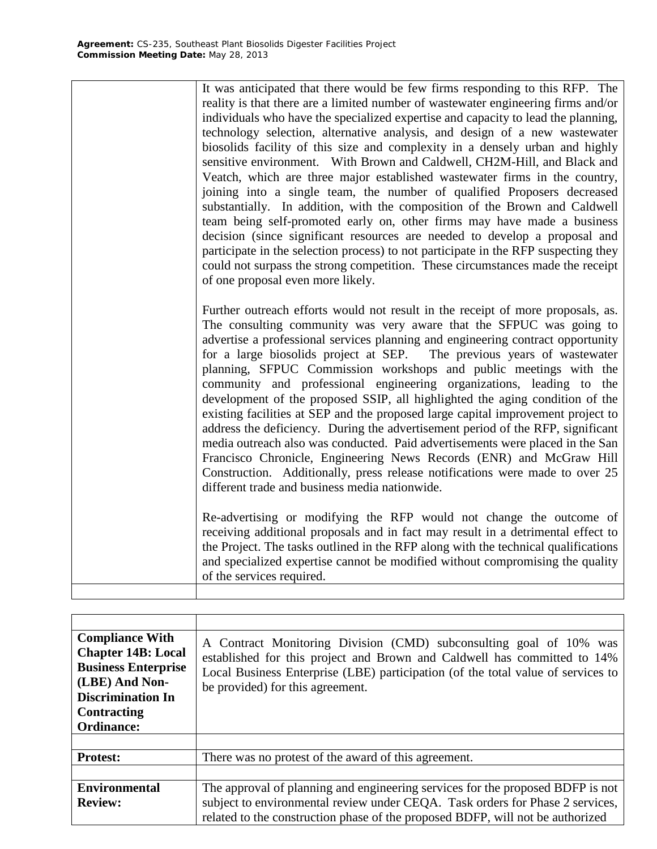It was anticipated that there would be few firms responding to this RFP. The reality is that there are a limited number of wastewater engineering firms and/or individuals who have the specialized expertise and capacity to lead the planning, technology selection, alternative analysis, and design of a new wastewater biosolids facility of this size and complexity in a densely urban and highly sensitive environment. With Brown and Caldwell, CH2M-Hill, and Black and Veatch, which are three major established wastewater firms in the country, joining into a single team, the number of qualified Proposers decreased substantially. In addition, with the composition of the Brown and Caldwell team being self-promoted early on, other firms may have made a business decision (since significant resources are needed to develop a proposal and participate in the selection process) to not participate in the RFP suspecting they could not surpass the strong competition. These circumstances made the receipt of one proposal even more likely.

Further outreach efforts would not result in the receipt of more proposals, as. The consulting community was very aware that the SFPUC was going to advertise a professional services planning and engineering contract opportunity for a large biosolids project at SEP. The previous years of wastewater planning, SFPUC Commission workshops and public meetings with the community and professional engineering organizations, leading to the development of the proposed SSIP, all highlighted the aging condition of the existing facilities at SEP and the proposed large capital improvement project to address the deficiency. During the advertisement period of the RFP, significant media outreach also was conducted. Paid advertisements were placed in the San Francisco Chronicle, Engineering News Records (ENR) and McGraw Hill Construction. Additionally, press release notifications were made to over 25 different trade and business media nationwide.

Re-advertising or modifying the RFP would not change the outcome of receiving additional proposals and in fact may result in a detrimental effect to the Project. The tasks outlined in the RFP along with the technical qualifications and specialized expertise cannot be modified without compromising the quality of the services required.

| <b>Compliance With</b><br><b>Chapter 14B: Local</b><br><b>Business Enterprise</b><br>(LBE) And Non-<br><b>Discrimination In</b><br><b>Contracting</b><br><b>Ordinance:</b> | A Contract Monitoring Division (CMD) subconsulting goal of 10% was<br>established for this project and Brown and Caldwell has committed to 14%<br>Local Business Enterprise (LBE) participation (of the total value of services to<br>be provided) for this agreement. |  |
|----------------------------------------------------------------------------------------------------------------------------------------------------------------------------|------------------------------------------------------------------------------------------------------------------------------------------------------------------------------------------------------------------------------------------------------------------------|--|
|                                                                                                                                                                            |                                                                                                                                                                                                                                                                        |  |
|                                                                                                                                                                            |                                                                                                                                                                                                                                                                        |  |
| <b>Protest:</b>                                                                                                                                                            | There was no protest of the award of this agreement.                                                                                                                                                                                                                   |  |
|                                                                                                                                                                            |                                                                                                                                                                                                                                                                        |  |
| <b>Environmental</b><br><b>Review:</b>                                                                                                                                     | The approval of planning and engineering services for the proposed BDFP is not<br>subject to environmental review under CEQA. Task orders for Phase 2 services,<br>related to the construction phase of the proposed BDFP, will not be authorized                      |  |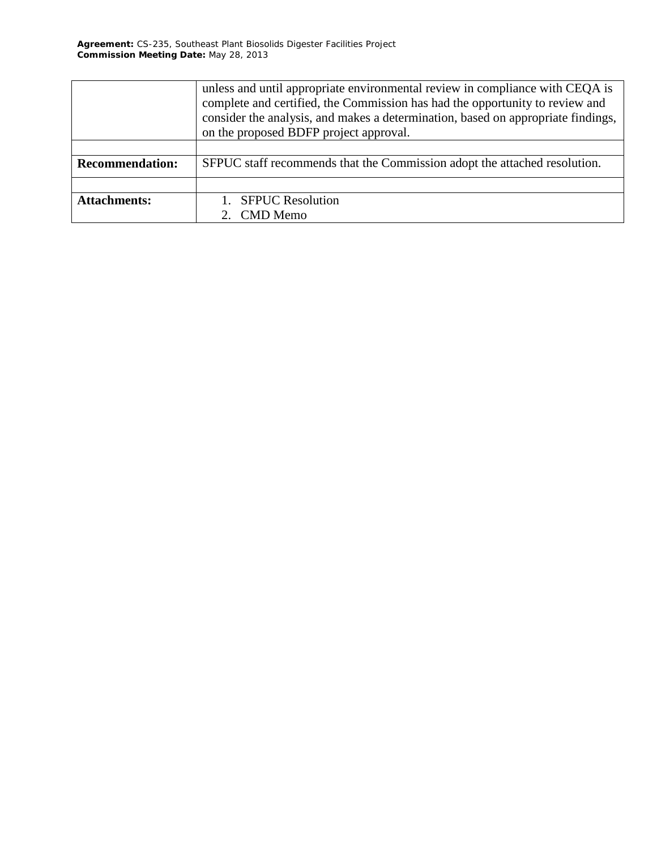|                        | unless and until appropriate environmental review in compliance with CEQA is<br>complete and certified, the Commission has had the opportunity to review and<br>consider the analysis, and makes a determination, based on appropriate findings,<br>on the proposed BDFP project approval. |  |  |
|------------------------|--------------------------------------------------------------------------------------------------------------------------------------------------------------------------------------------------------------------------------------------------------------------------------------------|--|--|
|                        |                                                                                                                                                                                                                                                                                            |  |  |
|                        |                                                                                                                                                                                                                                                                                            |  |  |
| <b>Recommendation:</b> | SFPUC staff recommends that the Commission adopt the attached resolution.                                                                                                                                                                                                                  |  |  |
|                        |                                                                                                                                                                                                                                                                                            |  |  |
| <b>Attachments:</b>    | <b>SFPUC Resolution</b>                                                                                                                                                                                                                                                                    |  |  |
|                        | 2. CMD Memo                                                                                                                                                                                                                                                                                |  |  |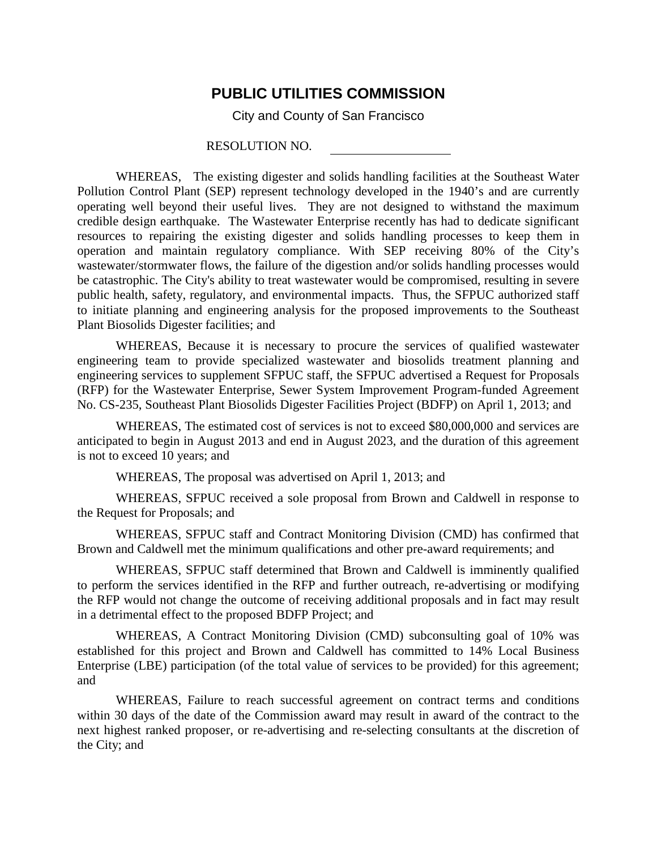# **PUBLIC UTILITIES COMMISSION**

City and County of San Francisco

### RESOLUTION NO.

WHEREAS, The existing digester and solids handling facilities at the Southeast Water Pollution Control Plant (SEP) represent technology developed in the 1940's and are currently operating well beyond their useful lives. They are not designed to withstand the maximum credible design earthquake. The Wastewater Enterprise recently has had to dedicate significant resources to repairing the existing digester and solids handling processes to keep them in operation and maintain regulatory compliance. With SEP receiving 80% of the City's wastewater/stormwater flows, the failure of the digestion and/or solids handling processes would be catastrophic. The City's ability to treat wastewater would be compromised, resulting in severe public health, safety, regulatory, and environmental impacts. Thus, the SFPUC authorized staff to initiate planning and engineering analysis for the proposed improvements to the Southeast Plant Biosolids Digester facilities; and

WHEREAS, Because it is necessary to procure the services of qualified wastewater engineering team to provide specialized wastewater and biosolids treatment planning and engineering services to supplement SFPUC staff, the SFPUC advertised a Request for Proposals (RFP) for the Wastewater Enterprise, Sewer System Improvement Program-funded Agreement No. CS-235, Southeast Plant Biosolids Digester Facilities Project (BDFP) on April 1, 2013; and

WHEREAS, The estimated cost of services is not to exceed \$80,000,000 and services are anticipated to begin in August 2013 and end in August 2023, and the duration of this agreement is not to exceed 10 years; and

WHEREAS, The proposal was advertised on April 1, 2013; and

WHEREAS, SFPUC received a sole proposal from Brown and Caldwell in response to the Request for Proposals; and

WHEREAS, SFPUC staff and Contract Monitoring Division (CMD) has confirmed that Brown and Caldwell met the minimum qualifications and other pre-award requirements; and

WHEREAS, SFPUC staff determined that Brown and Caldwell is imminently qualified to perform the services identified in the RFP and further outreach, re-advertising or modifying the RFP would not change the outcome of receiving additional proposals and in fact may result in a detrimental effect to the proposed BDFP Project; and

WHEREAS, A Contract Monitoring Division (CMD) subconsulting goal of 10% was established for this project and Brown and Caldwell has committed to 14% Local Business Enterprise (LBE) participation (of the total value of services to be provided) for this agreement; and

WHEREAS, Failure to reach successful agreement on contract terms and conditions within 30 days of the date of the Commission award may result in award of the contract to the next highest ranked proposer, or re-advertising and re-selecting consultants at the discretion of the City; and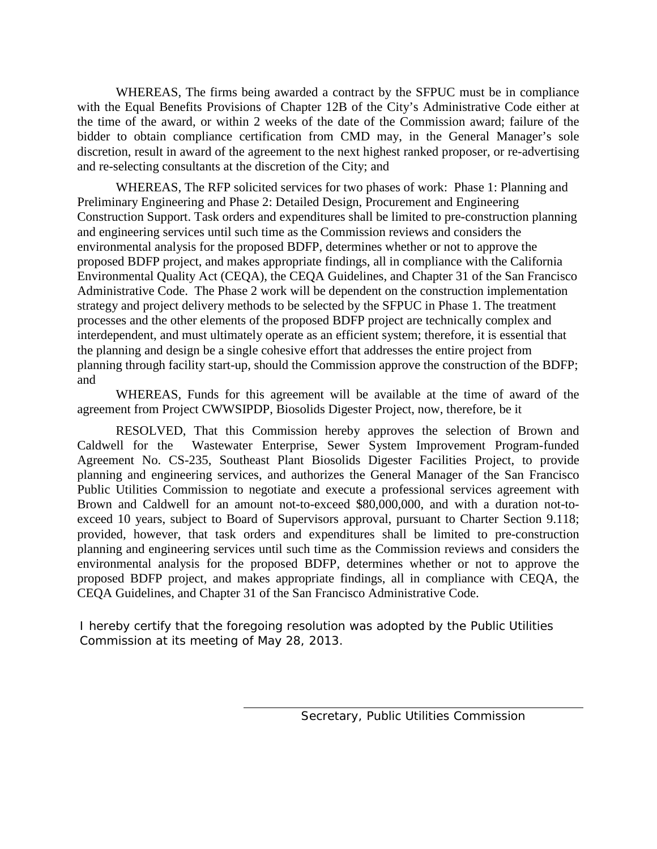WHEREAS, The firms being awarded a contract by the SFPUC must be in compliance with the Equal Benefits Provisions of Chapter 12B of the City's Administrative Code either at the time of the award, or within 2 weeks of the date of the Commission award; failure of the bidder to obtain compliance certification from CMD may, in the General Manager's sole discretion, result in award of the agreement to the next highest ranked proposer, or re-advertising and re-selecting consultants at the discretion of the City; and

WHEREAS, The RFP solicited services for two phases of work: Phase 1: Planning and Preliminary Engineering and Phase 2: Detailed Design, Procurement and Engineering Construction Support. Task orders and expenditures shall be limited to pre-construction planning and engineering services until such time as the Commission reviews and considers the environmental analysis for the proposed BDFP, determines whether or not to approve the proposed BDFP project, and makes appropriate findings, all in compliance with the California Environmental Quality Act (CEQA), the CEQA Guidelines, and Chapter 31 of the San Francisco Administrative Code. The Phase 2 work will be dependent on the construction implementation strategy and project delivery methods to be selected by the SFPUC in Phase 1. The treatment processes and the other elements of the proposed BDFP project are technically complex and interdependent, and must ultimately operate as an efficient system; therefore, it is essential that the planning and design be a single cohesive effort that addresses the entire project from planning through facility start-up, should the Commission approve the construction of the BDFP; and

WHEREAS, Funds for this agreement will be available at the time of award of the agreement from Project CWWSIPDP, Biosolids Digester Project, now, therefore, be it

RESOLVED, That this Commission hereby approves the selection of Brown and Caldwell for the Wastewater Enterprise, Sewer System Improvement Program-funded Agreement No. CS-235, Southeast Plant Biosolids Digester Facilities Project, to provide planning and engineering services, and authorizes the General Manager of the San Francisco Public Utilities Commission to negotiate and execute a professional services agreement with Brown and Caldwell for an amount not-to-exceed \$80,000,000, and with a duration not-toexceed 10 years, subject to Board of Supervisors approval, pursuant to Charter Section 9.118; provided, however, that task orders and expenditures shall be limited to pre-construction planning and engineering services until such time as the Commission reviews and considers the environmental analysis for the proposed BDFP, determines whether or not to approve the proposed BDFP project, and makes appropriate findings, all in compliance with CEQA, the CEQA Guidelines, and Chapter 31 of the San Francisco Administrative Code.

*I hereby certify that the foregoing resolution was adopted by the Public Utilities Commission at its meeting of May 28, 2013.*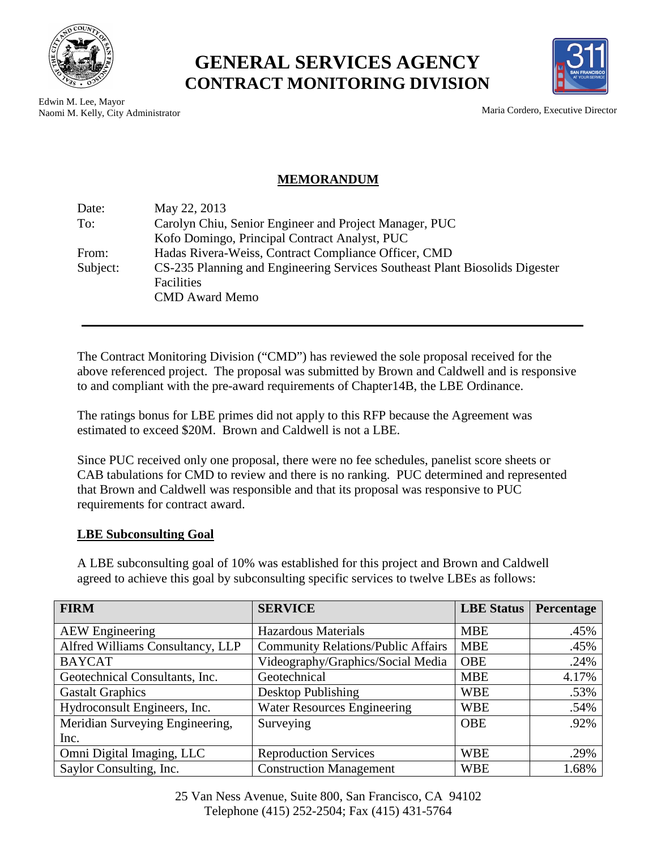

**GENERAL SERVICES AGENCY CONTRACT MONITORING DIVISION**



Edwin M. Lee, Mayor Naomi M. Kelly, City Administrator Maria Cordero, Executive Director

## **MEMORANDUM**

| Date:    | May 22, 2013                                                                |
|----------|-----------------------------------------------------------------------------|
| To:      | Carolyn Chiu, Senior Engineer and Project Manager, PUC                      |
|          | Kofo Domingo, Principal Contract Analyst, PUC                               |
| From:    | Hadas Rivera-Weiss, Contract Compliance Officer, CMD                        |
| Subject: | CS-235 Planning and Engineering Services Southeast Plant Biosolids Digester |
|          | <b>Facilities</b>                                                           |
|          | <b>CMD</b> Award Memo                                                       |
|          |                                                                             |

The Contract Monitoring Division ("CMD") has reviewed the sole proposal received for the above referenced project. The proposal was submitted by Brown and Caldwell and is responsive to and compliant with the pre-award requirements of Chapter14B, the LBE Ordinance.

The ratings bonus for LBE primes did not apply to this RFP because the Agreement was estimated to exceed \$20M. Brown and Caldwell is not a LBE.

Since PUC received only one proposal, there were no fee schedules, panelist score sheets or CAB tabulations for CMD to review and there is no ranking. PUC determined and represented that Brown and Caldwell was responsible and that its proposal was responsive to PUC requirements for contract award.

## **LBE Subconsulting Goal**

A LBE subconsulting goal of 10% was established for this project and Brown and Caldwell agreed to achieve this goal by subconsulting specific services to twelve LBEs as follows:

| <b>FIRM</b>                      | <b>SERVICE</b>                            | <b>LBE</b> Status | Percentage |
|----------------------------------|-------------------------------------------|-------------------|------------|
| <b>AEW</b> Engineering           | Hazardous Materials                       | <b>MBE</b>        | .45%       |
| Alfred Williams Consultancy, LLP | <b>Community Relations/Public Affairs</b> | <b>MBE</b>        | .45%       |
| <b>BAYCAT</b>                    | Videography/Graphics/Social Media         | <b>OBE</b>        | .24%       |
| Geotechnical Consultants, Inc.   | Geotechnical                              | <b>MBE</b>        | 4.17%      |
| <b>Gastalt Graphics</b>          | Desktop Publishing                        | <b>WBE</b>        | .53%       |
| Hydroconsult Engineers, Inc.     | <b>Water Resources Engineering</b>        | <b>WBE</b>        | .54%       |
| Meridian Surveying Engineering,  | Surveying                                 | <b>OBE</b>        | .92%       |
| Inc.                             |                                           |                   |            |
| Omni Digital Imaging, LLC        | <b>Reproduction Services</b>              | <b>WBE</b>        | .29%       |
| Saylor Consulting, Inc.          | <b>Construction Management</b>            | <b>WBE</b>        | 1.68%      |

25 Van Ness Avenue, Suite 800, San Francisco, CA 94102 Telephone (415) 252-2504; Fax (415) 431-5764